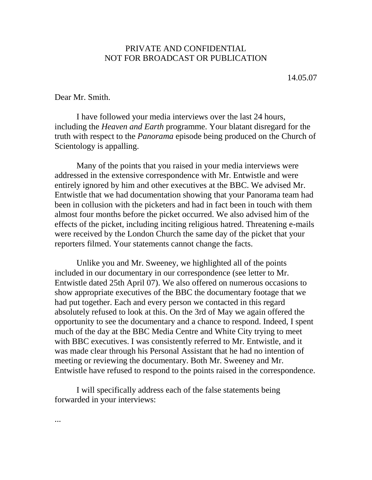## PRIVATE AND CONFIDENTIAL NOT FOR BROADCAST OR PUBLICATION

14.05.07

## Dear Mr. Smith.

I have followed your media interviews over the last 24 hours, including the *Heaven and Earth* programme. Your blatant disregard for the truth with respect to the *Panorama* episode being produced on the Church of Scientology is appalling.

Many of the points that you raised in your media interviews were addressed in the extensive correspondence with Mr. Entwistle and were entirely ignored by him and other executives at the BBC. We advised Mr. Entwistle that we had documentation showing that your Panorama team had been in collusion with the picketers and had in fact been in touch with them almost four months before the picket occurred. We also advised him of the effects of the picket, including inciting religious hatred. Threatening e-mails were received by the London Church the same day of the picket that your reporters filmed. Your statements cannot change the facts.

Unlike you and Mr. Sweeney, we highlighted all of the points included in our documentary in our correspondence (see letter to Mr. Entwistle dated 25th April 07). We also offered on numerous occasions to show appropriate executives of the BBC the documentary footage that we had put together. Each and every person we contacted in this regard absolutely refused to look at this. On the 3rd of May we again offered the opportunity to see the documentary and a chance to respond. Indeed, I spent much of the day at the BBC Media Centre and White City trying to meet with BBC executives. I was consistently referred to Mr. Entwistle, and it was made clear through his Personal Assistant that he had no intention of meeting or reviewing the documentary. Both Mr. Sweeney and Mr. Entwistle have refused to respond to the points raised in the correspondence.

I will specifically address each of the false statements being forwarded in your interviews:

...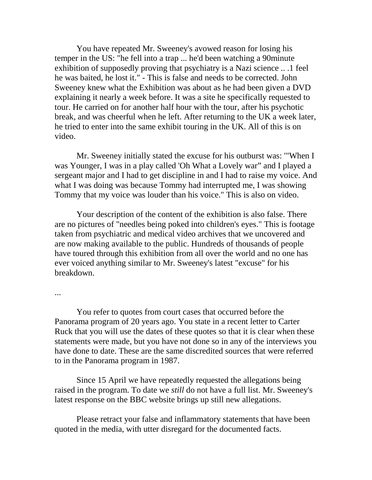You have repeated Mr. Sweeney's avowed reason for losing his temper in the US: "he fell into a trap ... he'd been watching a 90minute exhibition of supposedly proving that psychiatry is a Nazi science .. .1 feel he was baited, he lost it." - This is false and needs to be corrected. John Sweeney knew what the Exhibition was about as he had been given a DVD explaining it nearly a week before. It was a site he specifically requested to tour. He carried on for another half hour with the tour, after his psychotic break, and was cheerful when he left. After returning to the UK a week later, he tried to enter into the same exhibit touring in the UK. All of this is on video.

Mr. Sweeney initially stated the excuse for his outburst was: '"When I was Younger, I was in a play called 'Oh What a Lovely war" and I played a sergeant major and I had to get discipline in and I had to raise my voice. And what I was doing was because Tommy had interrupted me, I was showing Tommy that my voice was louder than his voice." This is also on video.

Your description of the content of the exhibition is also false. There are no pictures of "needles being poked into children's eyes." This is footage taken from psychiatric and medical video archives that we uncovered and are now making available to the public. Hundreds of thousands of people have toured through this exhibition from all over the world and no one has ever voiced anything similar to Mr. Sweeney's latest "excuse" for his breakdown.

...

You refer to quotes from court cases that occurred before the Panorama program of 20 years ago. You state in a recent letter to Carter Ruck that you will use the dates of these quotes so that it is clear when these statements were made, but you have not done so in any of the interviews you have done to date. These are the same discredited sources that were referred to in the Panorama program in 1987.

Since 15 April we have repeatedly requested the allegations being raised in the program. To date we *still* do not have a full list. Mr. Sweeney's latest response on the BBC website brings up still new allegations.

Please retract your false and inflammatory statements that have been quoted in the media, with utter disregard for the documented facts.